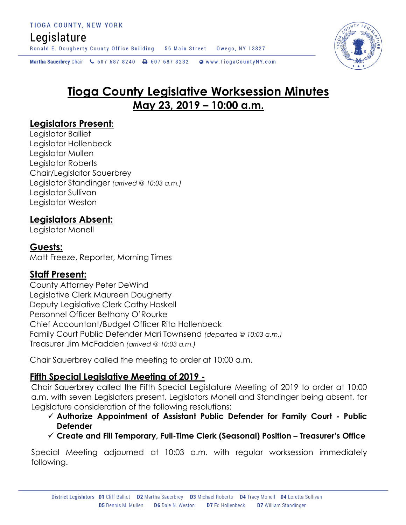## Legislature

Ronald E. Dougherty County Office Building 56 Main Street Owego, NY 13827

Martha Sauerbrey Chair & 607 687 8240 <a>B</a>607 687 8232 <a>B</a>Www.TiogaCountyNY.com

# **Tioga County Legislative Worksession Minutes May 23, 2019 – 10:00 a.m.**

## **Legislators Present:**

Legislator Balliet Legislator Hollenbeck Legislator Mullen Legislator Roberts Chair/Legislator Sauerbrey Legislator Standinger *(arrived @ 10:03 a.m.)* Legislator Sullivan Legislator Weston

## **Legislators Absent:**

Legislator Monell

### **Guests:**

Matt Freeze, Reporter, Morning Times

## **Staff Present:**

County Attorney Peter DeWind Legislative Clerk Maureen Dougherty Deputy Legislative Clerk Cathy Haskell Personnel Officer Bethany O'Rourke Chief Accountant/Budget Officer Rita Hollenbeck Family Court Public Defender Mari Townsend *(departed @ 10:03 a.m.)* Treasurer Jim McFadden *(arrived @ 10:03 a.m.)*

Chair Sauerbrey called the meeting to order at 10:00 a.m.

## **Fifth Special Legislative Meeting of 2019 -**

Chair Sauerbrey called the Fifth Special Legislature Meeting of 2019 to order at 10:00 a.m. with seven Legislators present, Legislators Monell and Standinger being absent, for Legislature consideration of the following resolutions:

- **Authorize Appointment of Assistant Public Defender for Family Court - Public Defender**
- **Create and Fill Temporary, Full-Time Clerk (Seasonal) Position – Treasurer's Office**

Special Meeting adjourned at 10:03 a.m. with regular worksession immediately following.

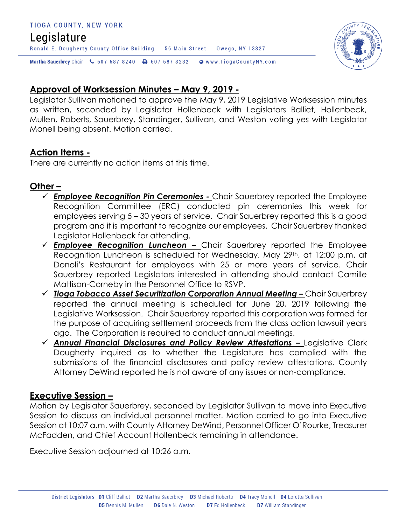#### TIOGA COUNTY, NEW YORK

## Legislature

Ronald E. Dougherty County Office Building 56 Main Street Owego, NY 13827

Martha Sauerbrey Chair & 607 687 8240 \ 607 687 8232 \ @ www.TiogaCountyNY.com

## **Approval of Worksession Minutes – May 9, 2019 -**

Legislator Sullivan motioned to approve the May 9, 2019 Legislative Worksession minutes as written, seconded by Legislator Hollenbeck with Legislators Balliet, Hollenbeck, Mullen, Roberts, Sauerbrey, Standinger, Sullivan, and Weston voting yes with Legislator Monell being absent. Motion carried.

### **Action Items -**

There are currently no action items at this time.

#### **Other –**

- *Employee Recognition Pin Ceremonies -* Chair Sauerbrey reported the Employee Recognition Committee (ERC) conducted pin ceremonies this week for employees serving 5 – 30 years of service. Chair Sauerbrey reported this is a good program and it is important to recognize our employees. Chair Sauerbrey thanked Legislator Hollenbeck for attending.
- *Employee Recognition Luncheon –* Chair Sauerbrey reported the Employee Recognition Luncheon is scheduled for Wednesday, May 29<sup>th</sup>, at 12:00 p.m. at Donoli's Restaurant for employees with 25 or more years of service. Chair Sauerbrey reported Legislators interested in attending should contact Camille Mattison-Corneby in the Personnel Office to RSVP.
- *Tioga Tobacco Asset Securitization Corporation Annual Meeting –* Chair Sauerbrey reported the annual meeting is scheduled for June 20, 2019 following the Legislative Worksession. Chair Sauerbrey reported this corporation was formed for the purpose of acquiring settlement proceeds from the class action lawsuit years ago. The Corporation is required to conduct annual meetings.
- √ **Annual Financial Disclosures and Policy Review Attestations Legislative Clerk** Dougherty inquired as to whether the Legislature has complied with the submissions of the financial disclosures and policy review attestations. County Attorney DeWind reported he is not aware of any issues or non-compliance.

## **Executive Session –**

Motion by Legislator Sauerbrey, seconded by Legislator Sullivan to move into Executive Session to discuss an individual personnel matter. Motion carried to go into Executive Session at 10:07 a.m. with County Attorney DeWind, Personnel Officer O'Rourke, Treasurer McFadden, and Chief Account Hollenbeck remaining in attendance.

Executive Session adjourned at 10:26 a.m.